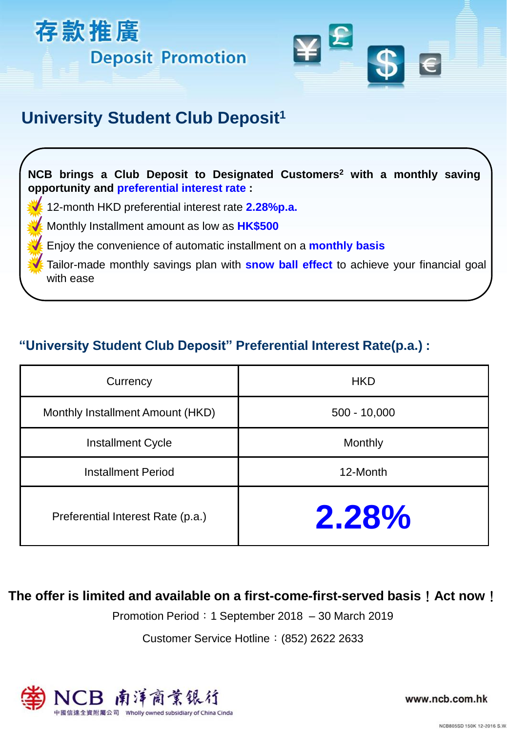



## **University Student Club Deposit<sup>1</sup>**

**NCB brings a Club Deposit to Designated Customers<sup>2</sup> with a monthly saving opportunity and preferential interest rate :**

12-month HKD preferential interest rate **2.28%p.a.**

Monthly Installment amount as low as **HK\$500**

Enjoy the convenience of automatic installment on a **monthly basis**

Tailor-made monthly savings plan with **snow ball effect** to achieve your financial goal with ease

## **"University Student Club Deposit" Preferential Interest Rate(p.a.) :**

| Currency                          | <b>HKD</b>     |
|-----------------------------------|----------------|
| Monthly Installment Amount (HKD)  | $500 - 10,000$ |
| <b>Installment Cycle</b>          | Monthly        |
| <b>Installment Period</b>         | 12-Month       |
| Preferential Interest Rate (p.a.) | $2.28\%$       |

### **The offer is limited and available on a first-come-first-served basis**!**Act now**!

Promotion Period: 1 September 2018 – 30 March 2019

Customer Service Hotline:(852) 2622 2633



www.ncb.com.hk